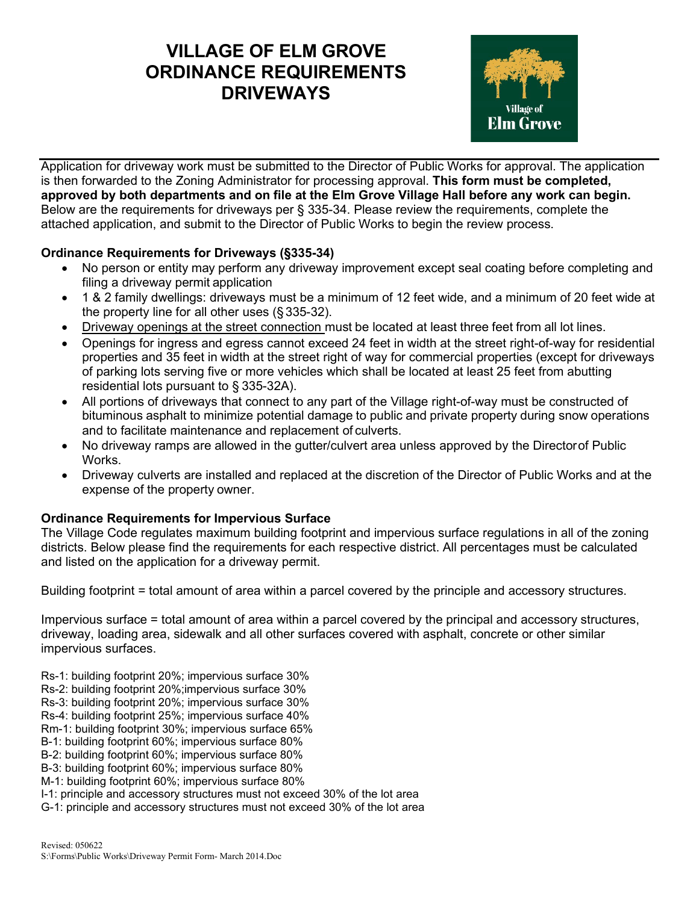## **VILLAGE OF ELM GROVE ORDINANCE REQUIREMENTS DRIVEWAYS**



Application for driveway work must be submitted to the Director of Public Works for approval. The application is then forwarded to the Zoning Administrator for processing approval. **This form must be completed, approved by both departments and on file at the Elm Grove Village Hall before any work can begin.**  Below are the requirements for driveways per § 335-34. Please review the requirements, complete the attached application, and submit to the Director of Public Works to begin the review process.

## **Ordinance Requirements for Driveways (§335-34)**

- No person or entity may perform any driveway improvement except seal coating before completing and filing a driveway permit application
- 1 & 2 family dwellings: driveways must be a minimum of 12 feet wide, and a minimum of 20 feet wide at the property line for all other uses (§ 335-32).
- Driveway openings at the street connection must be located at least three feet from all lot lines.
- Openings for ingress and egress cannot exceed 24 feet in width at the street right-of-way for residential properties and 35 feet in width at the street right of way for commercial properties (except for driveways of parking lots serving five or more vehicles which shall be located at least 25 feet from abutting residential lots pursuant to § 335-32A).
- All portions of driveways that connect to any part of the Village right-of-way must be constructed of bituminous asphalt to minimize potential damage to public and private property during snow operations and to facilitate maintenance and replacement of culverts.
- No driveway ramps are allowed in the gutter/culvert area unless approved by the Directorof Public Works.
- Driveway culverts are installed and replaced at the discretion of the Director of Public Works and at the expense of the property owner.

## **Ordinance Requirements for Impervious Surface**

The Village Code regulates maximum building footprint and impervious surface regulations in all of the zoning districts. Below please find the requirements for each respective district. All percentages must be calculated and listed on the application for a driveway permit.

Building footprint = total amount of area within a parcel covered by the principle and accessory structures.

Impervious surface = total amount of area within a parcel covered by the principal and accessory structures, driveway, loading area, sidewalk and all other surfaces covered with asphalt, concrete or other similar impervious surfaces.

- Rs-1: building footprint 20%; impervious surface 30%
- Rs-2: building footprint 20%;impervious surface 30%
- Rs-3: building footprint 20%; impervious surface 30%
- Rs-4: building footprint 25%; impervious surface 40%
- Rm-1: building footprint 30%; impervious surface 65%
- B-1: building footprint 60%; impervious surface 80%
- B-2: building footprint 60%; impervious surface 80%
- B-3: building footprint 60%; impervious surface 80%
- M-1: building footprint 60%; impervious surface 80%
- I-1: principle and accessory structures must not exceed 30% of the lot area
- G-1: principle and accessory structures must not exceed 30% of the lot area